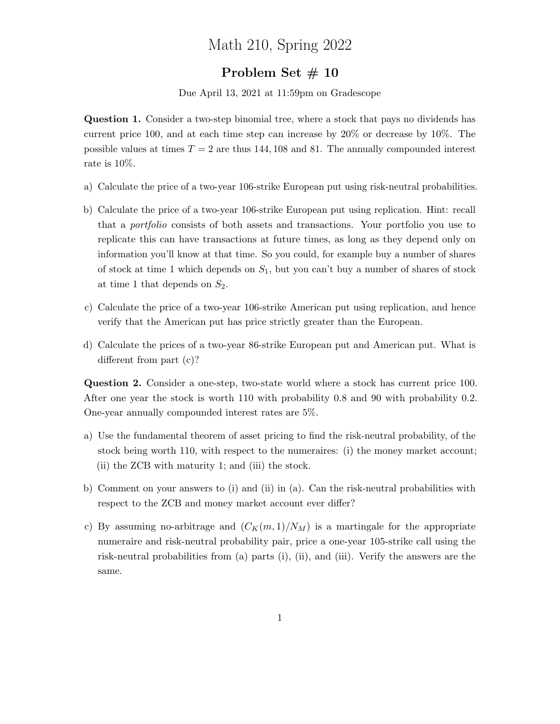## Math 210, Spring 2022

## Problem Set # 10

Due April 13, 2021 at 11:59pm on Gradescope

Question 1. Consider a two-step binomial tree, where a stock that pays no dividends has current price 100, and at each time step can increase by 20% or decrease by 10%. The possible values at times  $T = 2$  are thus 144, 108 and 81. The annually compounded interest rate is 10%.

- a) Calculate the price of a two-year 106-strike European put using risk-neutral probabilities.
- b) Calculate the price of a two-year 106-strike European put using replication. Hint: recall that a portfolio consists of both assets and transactions. Your portfolio you use to replicate this can have transactions at future times, as long as they depend only on information you'll know at that time. So you could, for example buy a number of shares of stock at time 1 which depends on  $S_1$ , but you can't buy a number of shares of stock at time 1 that depends on  $S_2$ .
- c) Calculate the price of a two-year 106-strike American put using replication, and hence verify that the American put has price strictly greater than the European.
- d) Calculate the prices of a two-year 86-strike European put and American put. What is different from part (c)?

Question 2. Consider a one-step, two-state world where a stock has current price 100. After one year the stock is worth 110 with probability 0.8 and 90 with probability 0.2. One-year annually compounded interest rates are 5%.

- a) Use the fundamental theorem of asset pricing to find the risk-neutral probability, of the stock being worth 110, with respect to the numeraires: (i) the money market account; (ii) the ZCB with maturity 1; and (iii) the stock.
- b) Comment on your answers to (i) and (ii) in (a). Can the risk-neutral probabilities with respect to the ZCB and money market account ever differ?
- c) By assuming no-arbitrage and  $(C_K(m, 1)/N_M)$  is a martingale for the appropriate numeraire and risk-neutral probability pair, price a one-year 105-strike call using the risk-neutral probabilities from (a) parts (i), (ii), and (iii). Verify the answers are the same.